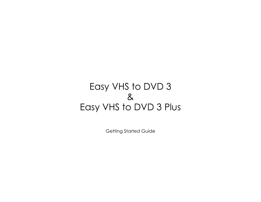# Easy VHS to DVD 3  $8<sup>2</sup>$ Easy VHS to DVD 3 Plus

Getting Started Guide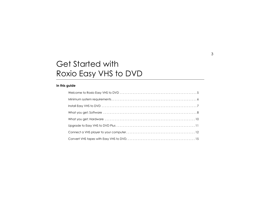## Get Started with Roxio Easy VHS to DVD

#### **In this guide**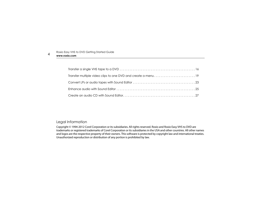4

#### Legal Information

Copyright © 1994-2012 Corel Corporation or its subsidiaries. All rights reserved. Roxio and Roxio Easy VHS to DVD are trademarks or registered trademarks of Corel Corporation or its subsidiaries in the USA and other countries. All other names and logos are the respective property of their owners. This software is protected by copyright law and international treaties. Unauthorized reproduction or distribution of any portion is prohibited by law.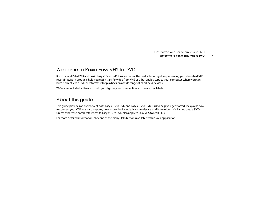## <span id="page-4-0"></span>Welcome to Roxio Easy VHS to DVD

Roxio Easy VHS to DVD and Roxio Easy VHS to DVD Plus are two of the best solutions yet for preserving your cherished VHS recordings. Both products help you easily transfer video from VHS or other analog tape to your computer, where you can burn it directly to a DVD or reformat it for playback on a wide range of hand-held devices.

We've also included software to help you digitize your LP collection and create disc labels.

#### About this guide

This guide provides an overview of both Easy VHS to DVD and Easy VHS to DVD Plus to help you get started. It explains how to connect your VCR to your computer, how to use the included capture device, and how to burn VHS video onto a DVD. Unless otherwise noted, references to Easy VHS to DVD also apply to Easy VHS to DVD Plus.

For more detailed information, click one of the many Help buttons available within your application.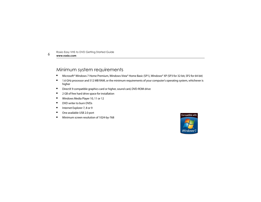#### <span id="page-5-0"></span>Minimum system requirements

- ■Microsoft® Windows 7 Home Premium, Windows Vista® Home Basic (SP1), Windows® XP (SP3 for 32-bit, SP2 for 64-bit)
- ■ 1.6 GHz processor and 512 MB RAM, or the minimum requirements of your computer's operating system, whichever is higher
- ■DirectX 9 compatible graphics card or higher, sound card, DVD-ROM drive
- ■2 GB of free hard drive space for installation
- ■Windows Media Player 10, 11 or 12
- ■DVD writer to burn DVDs
- ■Internet Explorer 7, 8 or 9
- ■One available USB 2.0 port
- ■Minimum screen resolution of 1024-by-768

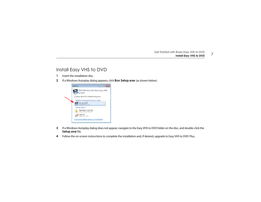7

#### <span id="page-6-0"></span>Install Easy VHS to DVD

- **1**Insert the installation disc.
- **2**If a Windows Autoplay dialog appears, click **Run Setup.exe** (as shown below).



- **3** If a Windows Autoplay dialog does not appear, navigate to the Easy VHS to DVD folder on the disc, and double-click the **Setup.exe** file.
- **4**Follow the on-screen instructions to complete the installation and, if desired, upgrade to Easy VHS to DVD Plus,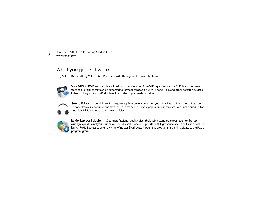## <span id="page-7-0"></span>What you get: Software

Easy VHS to DVD and Easy VHS to DVD Plus come with three great Roxio applications:



**Easy VHS to DVD** — Use this application to transfer video from VHS tape directly to a DVD. It also converts tapes to digital files that can be exported to formats compatible with iPhone, iPad, and other portable devices. To launch Easy VHS to DVD, double-click its desktop icon (shown at left).



**Sound Editor** — Sound Editor is the go-to application for converting your vinyl LPs to digital music files. Sound Editor enhances recordings and saves them in many of the most popular music formats. To launch Sound Editor, double-click its desktop icon (shown at left).



**Roxio Express Labeler** — Create professional quality disc labels using standard paper labels or the laserwriting capabilities of your disc drive. Roxio Express Labeler supports both LightScribe and LabelFlash drives. To launch Roxio Express Labeler, click the Windows **Start** button, open the programs list, and navigate to the Roxio program group.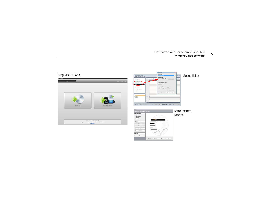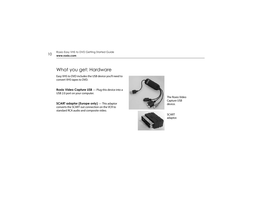## <span id="page-9-0"></span>What you get: Hardware

Easy VHS to DVD includes the USB device you'll need to convert VHS tapes to DVD.

**Roxio Video Capture USB** — Plug this device into a USB 2.0 port on your computer.

**SCART adaptor (Europe only)** — This adaptor converts the SCART out connection on the VCR to standard RCA audio and composite video.



The Roxio Video Capture USB device.



**SCART** adaptor.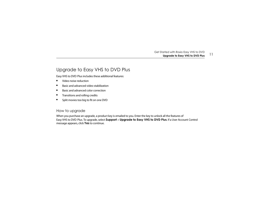#### <span id="page-10-0"></span>Upgrade to Easy VHS to DVD Plus

Easy VHS to DVD Plus includes these additional features:

- ■Video noise reduction
- ■Basic and advanced video stabilization
- ■Basic and advanced color correction
- ■Transitions and rolling credits
- ■Split movies too big to fit on one DVD

#### How to upgrade

When you purchase an upgrade, a product key is emailed to you. Enter the key to unlock all the features of Easy VHS to DVD Plus. To upgrade, select **Support** > **Upgrade to Easy VHS to DVD Plus**. If a User Account Control message appears, click **Yes** to continue.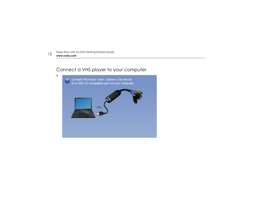#### <span id="page-11-0"></span>Connect a VHS player to your computer

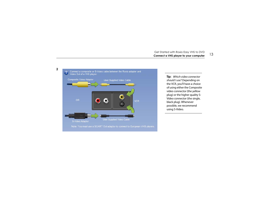



Note: You must use a SCART Out adaptor to connect to European VHS players.

**Tip:** Which video connector should I use? Depending on the VCR, you'll have a choice of using either the Composite video connector (the yellow plug) or the higher quality S-Video connector (the single, black plug). Whenever possible, we recommend using S-Video.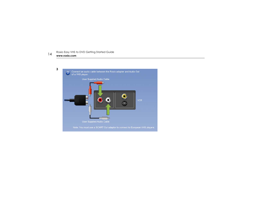

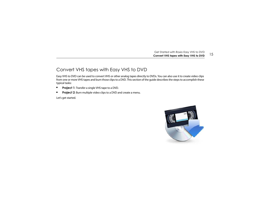#### <span id="page-14-0"></span>Convert VHS tapes with Easy VHS to DVD

Easy VHS to DVD can be used to convert VHS or other analog tapes directly to DVDs. You can also use it to create video clips from one or more VHS tapes and burn those clips to a DVD. This section of the guide describes the steps to accomplish these typical tasks:

- ■**Project 1**: Transfer a single VHS tape to a DVD.
- ■**Project 2**: Burn multiple video clips to a DVD and create a menu.

Let's get started.

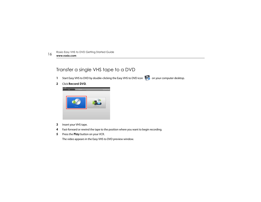## <span id="page-15-0"></span>Transfer a single VHS tape to a DVD

**1**Start Easy VHS to DVD by double-clicking the Easy VHS to DVD icon **CO** on your computer desktop.

**2**Click **Record DVD**.



- **3**Insert your VHS tape.
- **4**Fast-forward or rewind the tape to the position where you want to begin recording.
- **5**Press the **Play** button on your VCR.

The video appears in the Easy VHS to DVD preview window.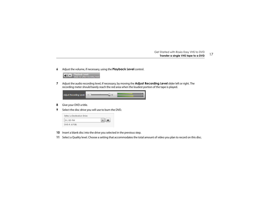**6**Adjust the volume, if necessary, using the **Playback Level** control.



**7** Adjust the audio recording level, if necessary, by moving the **Adjust Recording Level** slider left or right. The recording meter should barely reach the red area when the loudest portion of the tape is played.

| Adjust Recording Level: | $\equiv$ |  |
|-------------------------|----------|--|
|                         |          |  |

- **8**Give your DVD a title.
- **9**Select the disc drive you will use to burn the DVD.

| Select a Destination Drive |  |
|----------------------------|--|
| D:\ BD-RW                  |  |
| DVD-R (4.7GB)              |  |

- **10** Insert a blank disc into the drive you selected in the previous step.
- **11**Select a Quality level. Choose a setting that accommodates the total amount of video you plan to record on this disc.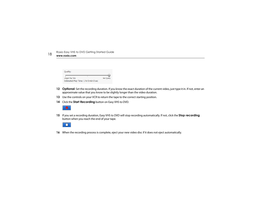| Quality:                                                   |                     |
|------------------------------------------------------------|---------------------|
| Longest Play Time<br>Estimated Play Time: 1 hr 0 min 0 sec | <b>Best Ouality</b> |

- **Optional**: Set the recording duration. If you know the exact duration of the current video, just type it in. If not, enter an approximate value that you know to be slightly longer than the video duration.
- Use the controls on your VCR to return the tape to the correct starting position.
- Click the **Start Recording** button on Easy VHS to DVD.



 If you set a recording duration, Easy VHS to DVD will stop recording automatically. If not, click the **Stop recording**  button when you reach the end of your tape.



When the recording process is complete, eject your new video disc if it does not eject automatically.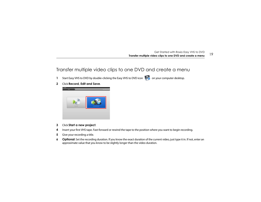#### <span id="page-18-0"></span>Transfer multiple video clips to one DVD and create a menu

- **1**Start Easy VHS to DVD by double-clicking the Easy VHS to DVD icon **CO** on your computer desktop.
- **2**Click **Record, Edit and Save**.



- **3**Click **Start a new project**.
- **4**Insert your first VHS tape. Fast-forward or rewind the tape to the position where you want to begin recording.
- **5**Give your recording a title.
- **6 Optional**: Set the recording duration. If you know the exact duration of the current video, just type it in. If not, enter an approximate value that you know to be slightly longer than the video duration.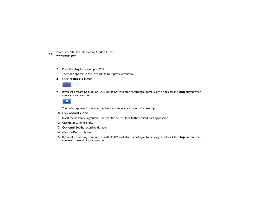**7**Press the **Play** button on your VCR.

The video appears in the Easy VHS to DVD preview window.

**8**Click the **Record** button.



**9** If you set a recording duration, Easy VHS to DVD will stop recording automatically. If not, click the **Stop** button when you are done recording.



Your video appears in the video list. Now you are ready to record the next clip.

- <span id="page-19-0"></span>**10** Click **Record Video**.
- **11**Insert the next tape in your VCR, or reset the current tape to the desired starting position.
- **12**Give this recording a title.
- **13 Optional**: Set the recording duration.
- **14** Click the **Record** button.
- <span id="page-19-1"></span>**15** If you set a recording duration, Easy VHS to DVD will stop recording automatically. If not, click the **Stop** button when you reach the end of your recording.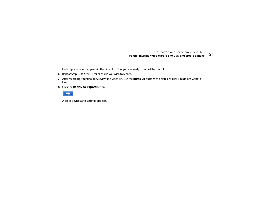Each clip you record appears in the video list. Now you are ready to record the next clip.

- **16** Repeat [Step](#page-19-0) 10 to [Step](#page-19-1) 15 for each clip you wish to record.
- **17** After recording your final clip, review the video list. Use the **Remove** buttons to delete any clips you do not want to keep.
- **18** Click the **Ready to Export** button.



A list of devices and settings appears.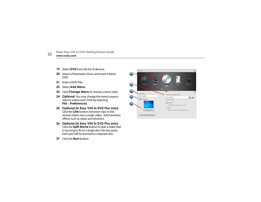- **19**Select **DVD** from the list of devices.
- **20** Select a Destination Drive, and insert a blank DVD.
- **21**Enter a DVD Title.
- **22**Select **Add Menu**.
- **23**Click **Change Menu** to choose a menu style.
- **24 Optional**: You may change the menu's aspectratio to widescreen (16:9) by selecting **File** <sup>&</sup>gt; **Preferences**.
- **25 Optional (in Easy VHS to DVD Plus only):**  Click the **Link** buttons between clips to link several videos into a single video. Add transition effects such as wipes and dissolves.
- **26 Optional (in Easy VHS to DVD Plus only)**: Click the **Split Movie** button to split a video that is too long to fit on a single disc into two parts. Each part will be burned to a separate disc.
- **27** Click the **Burn** button.

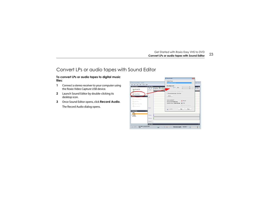#### <span id="page-22-0"></span>Convert LPs or audio tapes with Sound Editor

#### **To convert LPs or audio tapes to digital music files:**

- **1** Connect a stereo receiver to your computer using the Roxio Video Capture USB device.
- **2** Launch Sound Editor by double-clicking its desktop icon.
- **3** Once Sound Editor opens, click **Record Audio**. The Record Audio dialog opens.

| Ele Edit View Eley Tools<br><b>Add to Project</b> | Help<br>A Clip Editor                | <b>Recording Level:</b><br>$\blacksquare$<br>u     |
|---------------------------------------------------|--------------------------------------|----------------------------------------------------|
| Add Audio File                                    | 4 4 4 5plt Dip TO Lt A Fac<br>Tracks | $+$ Ado<br>ф<br>田鬼<br>$\mathbf{r}$<br>RE           |
| <b>ANGELIA BAN</b>                                |                                      | C Record Internet Audio - Separate Tracks          |
| Record Audio                                      |                                      | · Record Internet Audio - One Track                |
| $\sim$                                            | Left                                 | Options                                            |
| <b>Phy Export Current Clip</b>                    |                                      | Tracks recorded: 0                                 |
| Export Mix                                        |                                      | Record<br>Time recorded: 0 min 0 sec               |
| Export Tracks/Clips                               |                                      | <b>M</b> Stop<br>Time left on drive: 2330 h 46 min |
| <b>AS</b> Bum Audio CD                            |                                      | 4 Add Track Separator                              |
|                                                   | Right                                | Done.<br><b>Help</b><br>$\bullet$ -                |
| <b>Project View</b><br><b>El Clips</b>            |                                      |                                                    |
| No client<br><b>El Tracks</b>                     |                                      |                                                    |
| No tracks                                         | Volumn                               |                                                    |
|                                                   | Balance                              |                                                    |
|                                                   | Effects                              |                                                    |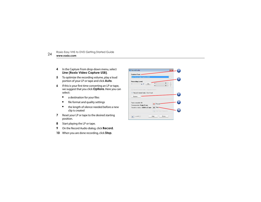

- **4** In the Capture From drop-down menu, select **Line (Roxio Video Capture USB)**.
- **5** To optimize the recording volume, play a loud portion of your LP or tape and click **Auto**.
- **6** If this is your first time converting an LP or tape, we suggest that you click **Options**. Here you can select:
	- ■a destination for your files
	- ■file format and quality settings
	- ■ the length of silence needed before a new clip is created
- **7** Reset your LP or tape to the desired starting position.
- **8**Start playing the LP or tape.
- **9**On the Record Audio dialog, click **Record**.
- **10**When you are done recording, click **Stop**.

| Record Audio                                              |  |
|-----------------------------------------------------------|--|
| Capture From: -                                           |  |
| Line (Roxio Video Capture USB)<br>$\overline{\mathbf{v}}$ |  |
| <b>Recording Level:</b><br>Auto<br>$\rightarrow +$<br>R   |  |
| Record Internet Audio - Separate Tracks                   |  |
| · Record Internet Audio - One Track                       |  |
| Options                                                   |  |
| Tracks recorded: 0                                        |  |
| Record<br>Time recorded: 0 min 0 sec.                     |  |
| Stop-<br>Time left on drive: 2330 h 22 min                |  |
| 1段 Add Track Separator                                    |  |
| Help<br>Done<br>$\blacklozenge$                           |  |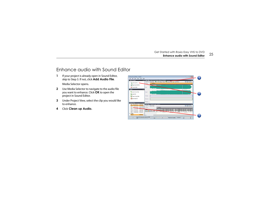#### <span id="page-24-0"></span>Enhance audio with Sound Editor

- **1** If your project is already open in Sound Editor, skip to Step 3. If not, click **Add Audio File**. Media Selector opens.
- **2** Use Media Selector to navigate to the audio file you want to enhance. Click **OK** to open the project in Sound Editor.
- **3** Under Project View, select the clip you would like to enhance.
- **4**Click **Clean up Audio.**

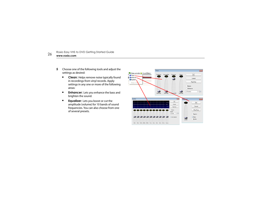

- **5** Choose one of the following tools and adjust the settings as desired:
	- ■ **Clean:** Helps remove noise typically found in recordings from vinyl records. Apply settings in any one or more of the following areas:
	- ■ **Enhancer:** Lets you enhance the bass and brighten the sound.
	- ■ **Equalizer:** Lets you boost or cut the amplitude (volume) for 10 bands of sound frequencies. You can also choose from one of several presets.

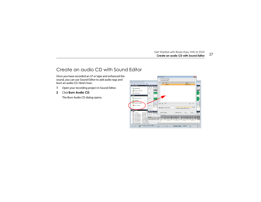#### <span id="page-26-0"></span>Create an audio CD with Sound Editor

Once you have recorded an LP or tape and enhanced the sound, you can use Sound Editor to add audio tags and burn an audio CD. Here's how:

- **1**Open your recording project in Sound Editor.
- **2**Click **Burn Audio CD**.

The Burn Audio CD dialog opens.